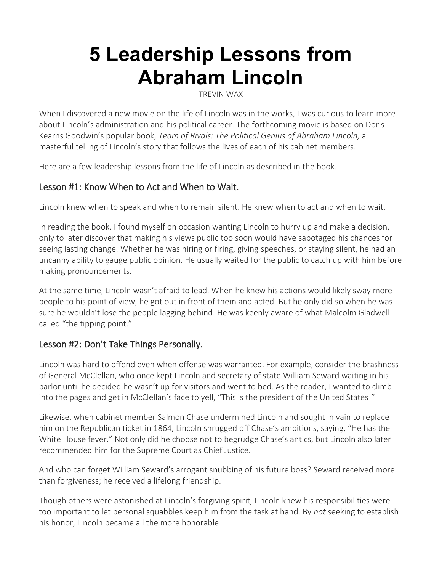# **5 Leadership Lessons from Abraham Lincoln**

[TREVIN WAX](https://www.thegospelcoalition.org/profile/trevin-wax/) 

When I discovered a new movie on the life of Lincoln was in the works, I was curious to learn more about Lincoln's administration and his political career. The forthcoming movie is based on Doris Kearns Goodwin's popular book, *[Team of Rivals: The Political Genius of Abraham Lincoln,](http://www.amazon.com/gp/product/1451688091/ref=as_li_ss_tl?ie=UTF8&camp=1789&creative=390957&creativeASIN=1451688091&linkCode=as2&tag=redletters-20)* a masterful telling of Lincoln's story that follows the lives of each of his cabinet members.

Here are a few leadership lessons from the life of Lincoln as described in the book.

## Lesson #1: Know When to Act and When to Wait.

Lincoln knew when to speak and when to remain silent. He knew when to act and when to wait.

In reading the book, I found myself on occasion wanting Lincoln to hurry up and make a decision, only to later discover that making his views public too soon would have sabotaged his chances for seeing lasting change. Whether he was hiring or firing, giving speeches, or staying silent, he had an uncanny ability to gauge public opinion. He usually waited for the public to catch up with him before making pronouncements.

At the same time, Lincoln wasn't afraid to lead. When he knew his actions would likely sway more people to his point of view, he got out in front of them and acted. But he only did so when he was sure he wouldn't lose the people lagging behind. He was keenly aware of what Malcolm Gladwell called "the tipping point."

## Lesson #2: Don't Take Things Personally.

Lincoln was hard to offend even when offense was warranted. For example, consider the brashness of General McClellan, who once kept Lincoln and secretary of state William Seward waiting in his parlor until he decided he wasn't up for visitors and went to bed. As the reader, I wanted to climb into the pages and get in McClellan's face to yell, "This is the president of the United States!"

Likewise, when cabinet member Salmon Chase undermined Lincoln and sought in vain to replace him on the Republican ticket in 1864, Lincoln shrugged off Chase's ambitions, saying, "He has the White House fever." Not only did he choose not to begrudge Chase's antics, but Lincoln also later recommended him for the Supreme Court as Chief Justice.

And who can forget [William Seward's arrogant snubbing of his future boss](http://blogs.thegospelcoalition.org/trevinwax/2012/10/02/the-power-of-overlooking-an-offense/)? Seward received more than forgiveness; he received a lifelong friendship.

Though others were astonished at Lincoln's forgiving spirit, Lincoln knew his responsibilities were too important to let personal squabbles keep him from the task at hand. By *not* seeking to establish his honor, Lincoln became all the more honorable.